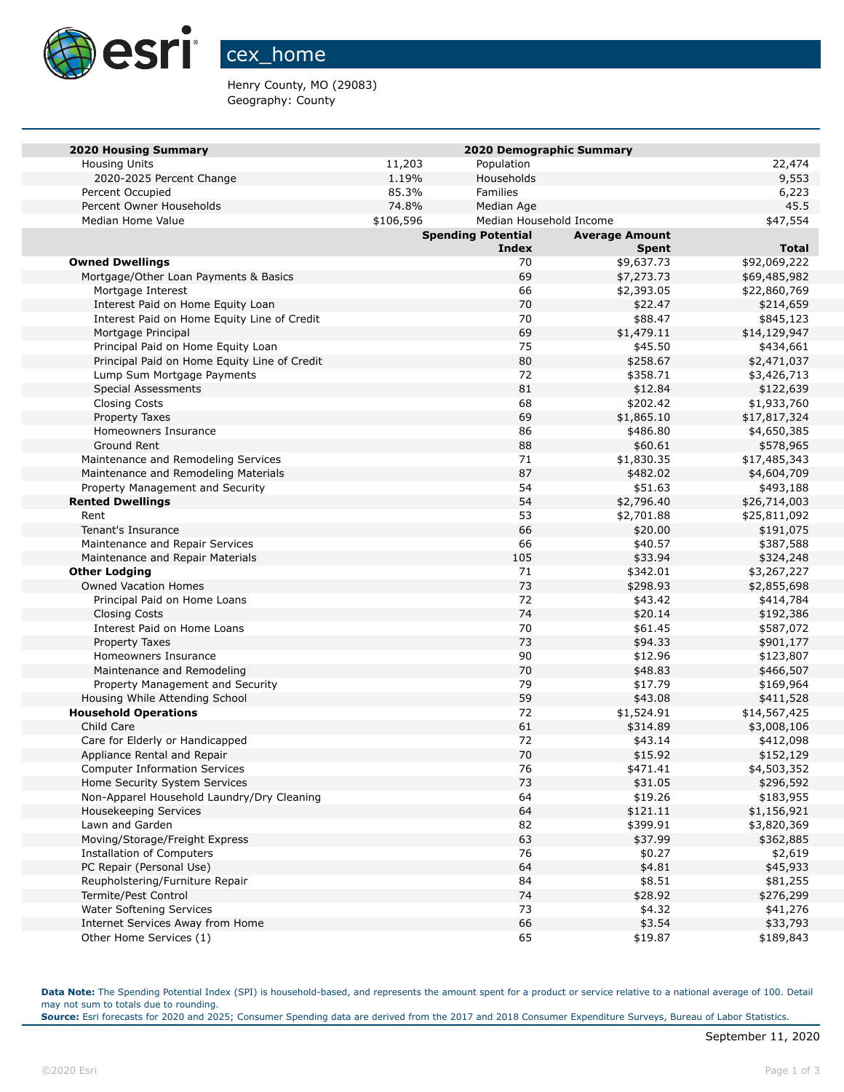

## cex\_home

Henry County, MO (29083) Geography: County

| <b>2020 Housing Summary</b>                                   |           |                           | 2020 Demographic Summary |                           |
|---------------------------------------------------------------|-----------|---------------------------|--------------------------|---------------------------|
| <b>Housing Units</b>                                          | 11,203    | Population                |                          | 22,474                    |
| 2020-2025 Percent Change                                      | 1.19%     | Households                |                          | 9,553                     |
| Percent Occupied                                              | 85.3%     | <b>Families</b>           |                          | 6,223                     |
| Percent Owner Households                                      | 74.8%     | Median Age                |                          | 45.5                      |
| Median Home Value                                             | \$106,596 |                           | Median Household Income  | \$47,554                  |
|                                                               |           | <b>Spending Potential</b> | <b>Average Amount</b>    |                           |
|                                                               |           | <b>Index</b>              | <b>Spent</b>             | <b>Total</b>              |
| <b>Owned Dwellings</b>                                        |           | 70                        | \$9,637.73               | \$92,069,222              |
| Mortgage/Other Loan Payments & Basics                         |           | 69                        | \$7,273.73               | \$69,485,982              |
| Mortgage Interest                                             |           | 66                        | \$2,393.05               | \$22,860,769              |
| Interest Paid on Home Equity Loan                             |           | 70                        | \$22.47                  | \$214,659                 |
| Interest Paid on Home Equity Line of Credit                   |           | 70                        | \$88.47                  | \$845,123                 |
| Mortgage Principal                                            |           | 69                        | \$1,479.11               | \$14,129,947              |
| Principal Paid on Home Equity Loan                            |           | 75                        | \$45.50                  | \$434,661                 |
| Principal Paid on Home Equity Line of Credit                  |           | 80                        | \$258.67                 | \$2,471,037               |
| Lump Sum Mortgage Payments                                    |           | 72                        | \$358.71                 | \$3,426,713               |
| <b>Special Assessments</b>                                    |           | 81                        | \$12.84                  | \$122,639                 |
| Closing Costs                                                 |           | 68                        | \$202.42                 | \$1,933,760               |
| Property Taxes                                                |           | 69                        | \$1,865.10               | \$17,817,324              |
| Homeowners Insurance                                          |           | 86                        | \$486.80                 | \$4,650,385               |
| Ground Rent                                                   |           | 88                        | \$60.61                  | \$578,965                 |
| Maintenance and Remodeling Services                           |           | 71                        | \$1,830.35               | \$17,485,343              |
| Maintenance and Remodeling Materials                          |           | 87                        | \$482.02                 | \$4,604,709               |
| Property Management and Security                              |           | 54                        | \$51.63                  | \$493,188                 |
| <b>Rented Dwellings</b>                                       |           | 54                        | \$2,796.40               | \$26,714,003              |
| Rent                                                          |           | 53                        | \$2,701.88               | \$25,811,092              |
| Tenant's Insurance                                            |           | 66                        | \$20.00                  | \$191,075                 |
| Maintenance and Repair Services                               |           | 66                        | \$40.57                  | \$387,588                 |
| Maintenance and Repair Materials                              |           | 105                       | \$33.94                  | \$324,248                 |
| <b>Other Lodging</b>                                          |           | 71                        | \$342.01                 | \$3,267,227               |
| <b>Owned Vacation Homes</b>                                   |           | 73                        | \$298.93                 | \$2,855,698               |
| Principal Paid on Home Loans                                  |           | 72                        | \$43.42                  | \$414,784                 |
| <b>Closing Costs</b>                                          |           | 74                        | \$20.14                  | \$192,386                 |
| Interest Paid on Home Loans                                   |           | 70<br>73                  | \$61.45                  | \$587,072                 |
| <b>Property Taxes</b>                                         |           | 90                        | \$94.33                  | \$901,177                 |
| Homeowners Insurance                                          |           |                           | \$12.96                  | \$123,807                 |
| Maintenance and Remodeling                                    |           | 70<br>79                  | \$48.83                  | \$466,507                 |
| Property Management and Security                              |           | 59                        | \$17.79                  | \$169,964                 |
| Housing While Attending School<br><b>Household Operations</b> |           | 72                        | \$43.08<br>\$1,524.91    | \$411,528<br>\$14,567,425 |
| Child Care                                                    |           | 61                        | \$314.89                 | \$3,008,106               |
| Care for Elderly or Handicapped                               |           | 72                        | \$43.14                  | \$412,098                 |
| Appliance Rental and Repair                                   |           | 70                        | \$15.92                  | \$152,129                 |
| <b>Computer Information Services</b>                          |           | 76                        | \$471.41                 | \$4,503,352               |
| Home Security System Services                                 |           | 73                        | \$31.05                  | \$296,592                 |
| Non-Apparel Household Laundry/Dry Cleaning                    |           | 64                        | \$19.26                  | \$183,955                 |
| Housekeeping Services                                         |           | 64                        | \$121.11                 | \$1,156,921               |
| Lawn and Garden                                               |           | 82                        | \$399.91                 | \$3,820,369               |
| Moving/Storage/Freight Express                                |           | 63                        | \$37.99                  | \$362,885                 |
| <b>Installation of Computers</b>                              |           | 76                        | \$0.27                   | \$2,619                   |
| PC Repair (Personal Use)                                      |           | 64                        | \$4.81                   | \$45,933                  |
| Reupholstering/Furniture Repair                               |           | 84                        | \$8.51                   | \$81,255                  |
| Termite/Pest Control                                          |           | 74                        | \$28.92                  | \$276,299                 |
| <b>Water Softening Services</b>                               |           | 73                        | \$4.32                   | \$41,276                  |
| Internet Services Away from Home                              |           | 66                        | \$3.54                   | \$33,793                  |
| Other Home Services (1)                                       |           | 65                        | \$19.87                  | \$189,843                 |

**Data Note:** The Spending Potential Index (SPI) is household-based, and represents the amount spent for a product or service relative to a national average of 100. Detail may not sum to totals due to rounding.

**Source:** Esri forecasts for 2020 and 2025; Consumer Spending data are derived from the 2017 and 2018 Consumer Expenditure Surveys, Bureau of Labor Statistics.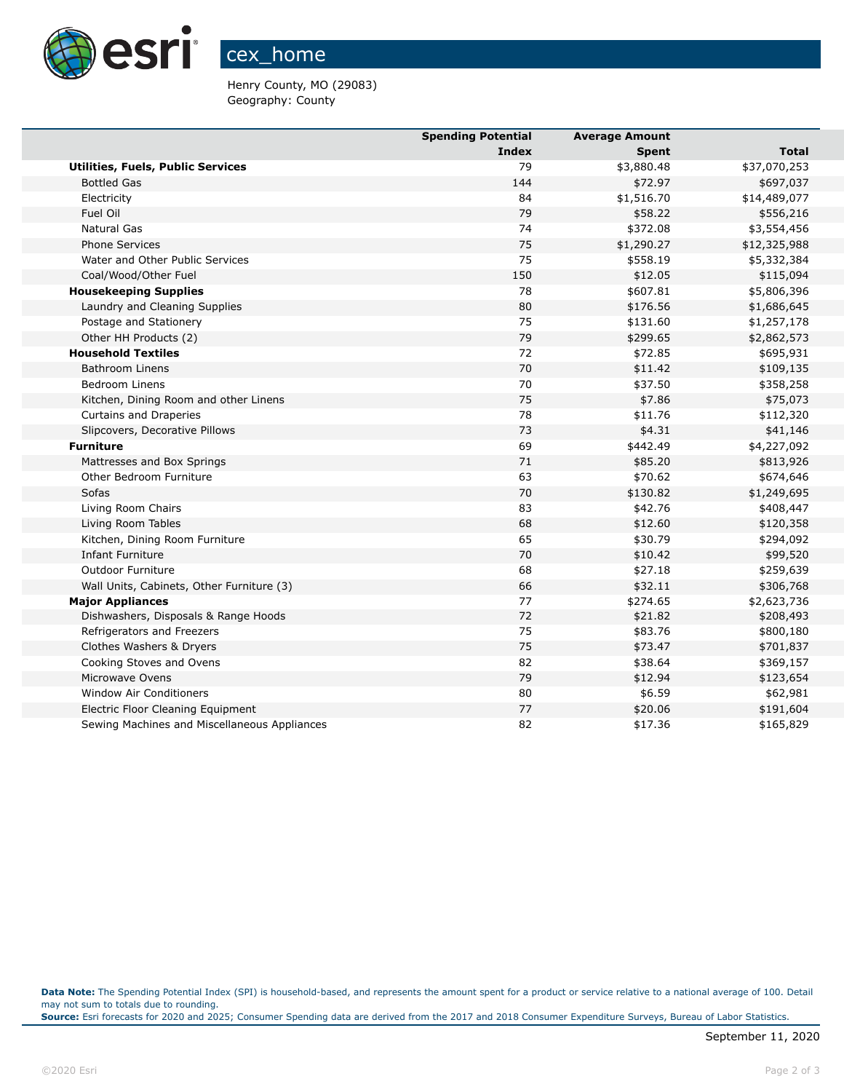

Henry County, MO (29083) Geography: County

|                                              | <b>Spending Potential</b> | <b>Average Amount</b> |              |
|----------------------------------------------|---------------------------|-----------------------|--------------|
|                                              | Index                     | <b>Spent</b>          | Total        |
| <b>Utilities, Fuels, Public Services</b>     | 79                        | \$3,880.48            | \$37,070,253 |
| <b>Bottled Gas</b>                           | 144                       | \$72.97               | \$697,037    |
| Electricity                                  | 84                        | \$1,516.70            | \$14,489,077 |
| Fuel Oil                                     | 79                        | \$58.22               | \$556,216    |
| Natural Gas                                  | 74                        | \$372.08              | \$3,554,456  |
| <b>Phone Services</b>                        | 75                        | \$1,290.27            | \$12,325,988 |
| Water and Other Public Services              | 75                        | \$558.19              | \$5,332,384  |
| Coal/Wood/Other Fuel                         | 150                       | \$12.05               | \$115,094    |
| <b>Housekeeping Supplies</b>                 | 78                        | \$607.81              | \$5,806,396  |
| Laundry and Cleaning Supplies                | 80                        | \$176.56              | \$1,686,645  |
| Postage and Stationery                       | 75                        | \$131.60              | \$1,257,178  |
| Other HH Products (2)                        | 79                        | \$299.65              | \$2,862,573  |
| <b>Household Textiles</b>                    | 72                        | \$72.85               | \$695,931    |
| <b>Bathroom Linens</b>                       | 70                        | \$11.42               | \$109,135    |
| <b>Bedroom Linens</b>                        | 70                        | \$37.50               | \$358,258    |
| Kitchen, Dining Room and other Linens        | 75                        | \$7.86                | \$75,073     |
| Curtains and Draperies                       | 78                        | \$11.76               | \$112,320    |
| Slipcovers, Decorative Pillows               | 73                        | \$4.31                | \$41,146     |
| <b>Furniture</b>                             | 69                        | \$442.49              | \$4,227,092  |
| Mattresses and Box Springs                   | 71                        | \$85.20               | \$813,926    |
| Other Bedroom Furniture                      | 63                        | \$70.62               | \$674,646    |
| Sofas                                        | 70                        | \$130.82              | \$1,249,695  |
| Living Room Chairs                           | 83                        | \$42.76               | \$408,447    |
| Living Room Tables                           | 68                        | \$12.60               | \$120,358    |
| Kitchen, Dining Room Furniture               | 65                        | \$30.79               | \$294,092    |
| <b>Infant Furniture</b>                      | 70                        | \$10.42               | \$99,520     |
| <b>Outdoor Furniture</b>                     | 68                        | \$27.18               | \$259,639    |
| Wall Units, Cabinets, Other Furniture (3)    | 66                        | \$32.11               | \$306,768    |
| <b>Major Appliances</b>                      | 77                        | \$274.65              | \$2,623,736  |
| Dishwashers, Disposals & Range Hoods         | 72                        | \$21.82               | \$208,493    |
| Refrigerators and Freezers                   | 75                        | \$83.76               | \$800,180    |
| Clothes Washers & Dryers                     | 75                        | \$73.47               | \$701,837    |
| Cooking Stoves and Ovens                     | 82                        | \$38.64               | \$369,157    |
| Microwave Ovens                              | 79                        | \$12.94               | \$123,654    |
| Window Air Conditioners                      | 80                        | \$6.59                | \$62,981     |
| Electric Floor Cleaning Equipment            | 77                        | \$20.06               | \$191,604    |
| Sewing Machines and Miscellaneous Appliances | 82                        | \$17.36               | \$165,829    |

**Data Note:** The Spending Potential Index (SPI) is household-based, and represents the amount spent for a product or service relative to a national average of 100. Detail may not sum to totals due to rounding.

**Source:** Esri forecasts for 2020 and 2025; Consumer Spending data are derived from the 2017 and 2018 Consumer Expenditure Surveys, Bureau of Labor Statistics.